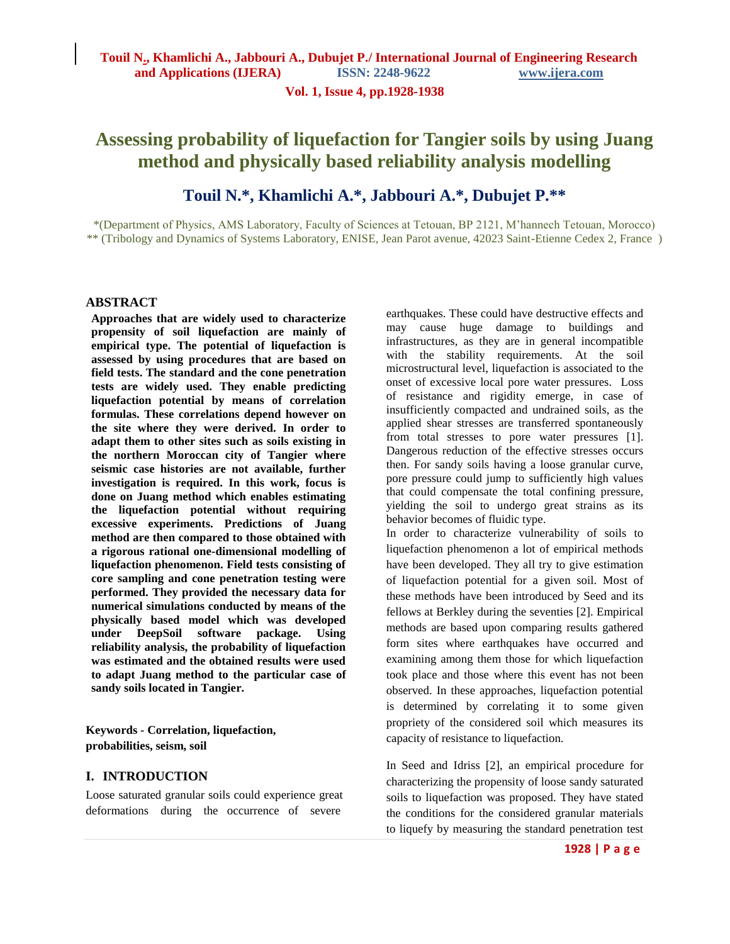**Vol. 1, Issue 4, pp.1928-1938**

# **Assessing probability of liquefaction for Tangier soils by using Juang method and physically based reliability analysis modelling**

# **Touil N.\*, Khamlichi A.\*, Jabbouri A.\*, Dubujet P.\*\***

\*(Department of Physics, AMS Laboratory, Faculty of Sciences at Tetouan, BP 2121, M'hannech Tetouan, Morocco) \*\* (Tribology and Dynamics of Systems Laboratory, ENISE, Jean Parot avenue, 42023 Saint-Etienne Cedex 2, France )

#### **ABSTRACT**

**Approaches that are widely used to characterize propensity of soil liquefaction are mainly of empirical type. The potential of liquefaction is assessed by using procedures that are based on field tests. The standard and the cone penetration tests are widely used. They enable predicting liquefaction potential by means of correlation formulas. These correlations depend however on the site where they were derived. In order to adapt them to other sites such as soils existing in the northern Moroccan city of Tangier where seismic case histories are not available, further investigation is required. In this work, focus is done on Juang method which enables estimating the liquefaction potential without requiring excessive experiments. Predictions of Juang method are then compared to those obtained with a rigorous rational one-dimensional modelling of liquefaction phenomenon. Field tests consisting of core sampling and cone penetration testing were performed. They provided the necessary data for numerical simulations conducted by means of the physically based model which was developed under DeepSoil software package. Using reliability analysis, the probability of liquefaction was estimated and the obtained results were used to adapt Juang method to the particular case of sandy soils located in Tangier.**

**Keywords - Correlation, liquefaction, probabilities, seism, soil** 

### **I. INTRODUCTION**

Loose saturated granular soils could experience great deformations during the occurrence of severe

earthquakes. These could have destructive effects and may cause huge damage to buildings and infrastructures, as they are in general incompatible with the stability requirements. At the soil microstructural level, liquefaction is associated to the onset of excessive local pore water pressures. Loss of resistance and rigidity emerge, in case of insufficiently compacted and undrained soils, as the applied shear stresses are transferred spontaneously from total stresses to pore water pressures [1]. Dangerous reduction of the effective stresses occurs then. For sandy soils having a loose granular curve, pore pressure could jump to sufficiently high values that could compensate the total confining pressure, yielding the soil to undergo great strains as its behavior becomes of fluidic type.

In order to characterize vulnerability of soils to liquefaction phenomenon a lot of empirical methods have been developed. They all try to give estimation of liquefaction potential for a given soil. Most of these methods have been introduced by Seed and its fellows at Berkley during the seventies [2]. Empirical methods are based upon comparing results gathered form sites where earthquakes have occurred and examining among them those for which liquefaction took place and those where this event has not been observed. In these approaches, liquefaction potential is determined by correlating it to some given propriety of the considered soil which measures its capacity of resistance to liquefaction.

In Seed and Idriss [2], an empirical procedure for characterizing the propensity of loose sandy saturated soils to liquefaction was proposed. They have stated the conditions for the considered granular materials to liquefy by measuring the standard penetration test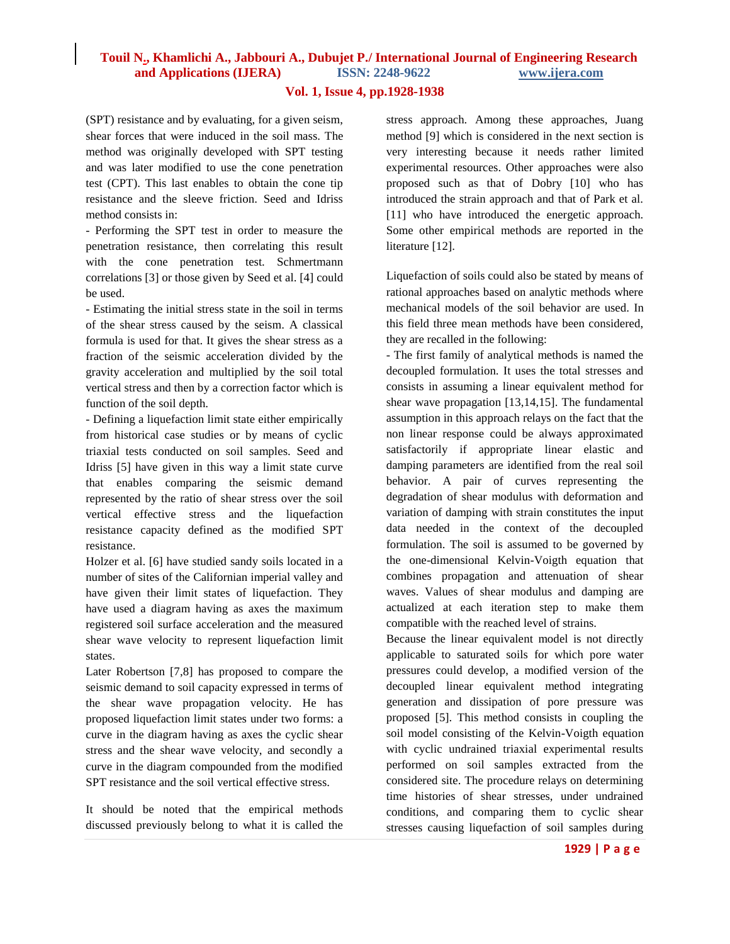### **Vol. 1, Issue 4, pp.1928-1938**

(SPT) resistance and by evaluating, for a given seism, shear forces that were induced in the soil mass. The method was originally developed with SPT testing and was later modified to use the cone penetration test (CPT). This last enables to obtain the cone tip resistance and the sleeve friction. Seed and Idriss method consists in:

- Performing the SPT test in order to measure the penetration resistance, then correlating this result with the cone penetration test. Schmertmann correlations [3] or those given by Seed et al. [4] could be used.

- Estimating the initial stress state in the soil in terms of the shear stress caused by the seism. A classical formula is used for that. It gives the shear stress as a fraction of the seismic acceleration divided by the gravity acceleration and multiplied by the soil total vertical stress and then by a correction factor which is function of the soil depth.

- Defining a liquefaction limit state either empirically from historical case studies or by means of cyclic triaxial tests conducted on soil samples. Seed and Idriss [5] have given in this way a limit state curve that enables comparing the seismic demand represented by the ratio of shear stress over the soil vertical effective stress and the liquefaction resistance capacity defined as the modified SPT resistance.

Holzer et al. [6] have studied sandy soils located in a number of sites of the Californian imperial valley and have given their limit states of liquefaction. They have used a diagram having as axes the maximum registered soil surface acceleration and the measured shear wave velocity to represent liquefaction limit states.

Later Robertson [7,8] has proposed to compare the seismic demand to soil capacity expressed in terms of the shear wave propagation velocity. He has proposed liquefaction limit states under two forms: a curve in the diagram having as axes the cyclic shear stress and the shear wave velocity, and secondly a curve in the diagram compounded from the modified SPT resistance and the soil vertical effective stress.

It should be noted that the empirical methods discussed previously belong to what it is called the stress approach. Among these approaches, Juang method [9] which is considered in the next section is very interesting because it needs rather limited experimental resources. Other approaches were also proposed such as that of Dobry [10] who has introduced the strain approach and that of Park et al. [11] who have introduced the energetic approach. Some other empirical methods are reported in the literature [12].

Liquefaction of soils could also be stated by means of rational approaches based on analytic methods where mechanical models of the soil behavior are used. In this field three mean methods have been considered, they are recalled in the following:

- The first family of analytical methods is named the decoupled formulation. It uses the total stresses and consists in assuming a linear equivalent method for shear wave propagation [13,14,15]. The fundamental assumption in this approach relays on the fact that the non linear response could be always approximated satisfactorily if appropriate linear elastic and damping parameters are identified from the real soil behavior. A pair of curves representing the degradation of shear modulus with deformation and variation of damping with strain constitutes the input data needed in the context of the decoupled formulation. The soil is assumed to be governed by the one-dimensional Kelvin-Voigth equation that combines propagation and attenuation of shear waves. Values of shear modulus and damping are actualized at each iteration step to make them compatible with the reached level of strains.

Because the linear equivalent model is not directly applicable to saturated soils for which pore water pressures could develop, a modified version of the decoupled linear equivalent method integrating generation and dissipation of pore pressure was proposed [5]. This method consists in coupling the soil model consisting of the Kelvin-Voigth equation with cyclic undrained triaxial experimental results performed on soil samples extracted from the considered site. The procedure relays on determining time histories of shear stresses, under undrained conditions, and comparing them to cyclic shear stresses causing liquefaction of soil samples during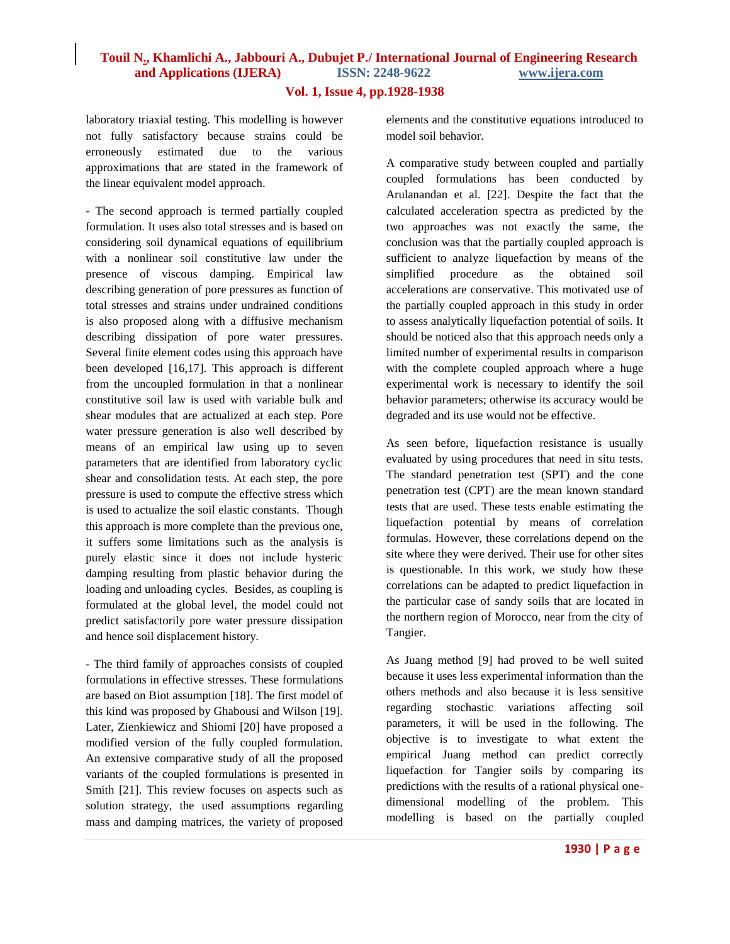### **Vol. 1, Issue 4, pp.1928-1938**

laboratory triaxial testing. This modelling is however not fully satisfactory because strains could be erroneously estimated due to the various approximations that are stated in the framework of the linear equivalent model approach.

- The second approach is termed partially coupled formulation. It uses also total stresses and is based on considering soil dynamical equations of equilibrium with a nonlinear soil constitutive law under the presence of viscous damping. Empirical law describing generation of pore pressures as function of total stresses and strains under undrained conditions is also proposed along with a diffusive mechanism describing dissipation of pore water pressures. Several finite element codes using this approach have been developed [16,17]. This approach is different from the uncoupled formulation in that a nonlinear constitutive soil law is used with variable bulk and shear modules that are actualized at each step. Pore water pressure generation is also well described by means of an empirical law using up to seven parameters that are identified from laboratory cyclic shear and consolidation tests. At each step, the pore pressure is used to compute the effective stress which is used to actualize the soil elastic constants. Though this approach is more complete than the previous one, it suffers some limitations such as the analysis is purely elastic since it does not include hysteric damping resulting from plastic behavior during the loading and unloading cycles. Besides, as coupling is formulated at the global level, the model could not predict satisfactorily pore water pressure dissipation and hence soil displacement history.

- The third family of approaches consists of coupled formulations in effective stresses. These formulations are based on Biot assumption [18]. The first model of this kind was proposed by Ghabousi and Wilson [19]. Later, Zienkiewicz and Shiomi [20] have proposed a modified version of the fully coupled formulation. An extensive comparative study of all the proposed variants of the coupled formulations is presented in Smith [21]. This review focuses on aspects such as solution strategy, the used assumptions regarding mass and damping matrices, the variety of proposed

elements and the constitutive equations introduced to model soil behavior.

A comparative study between coupled and partially coupled formulations has been conducted by Arulanandan et al. [22]. Despite the fact that the calculated acceleration spectra as predicted by the two approaches was not exactly the same, the conclusion was that the partially coupled approach is sufficient to analyze liquefaction by means of the simplified procedure as the obtained soil accelerations are conservative. This motivated use of the partially coupled approach in this study in order to assess analytically liquefaction potential of soils. It should be noticed also that this approach needs only a limited number of experimental results in comparison with the complete coupled approach where a huge experimental work is necessary to identify the soil behavior parameters; otherwise its accuracy would be degraded and its use would not be effective.

As seen before, liquefaction resistance is usually evaluated by using procedures that need in situ tests. The standard penetration test (SPT) and the cone penetration test (CPT) are the mean known standard tests that are used. These tests enable estimating the liquefaction potential by means of correlation formulas. However, these correlations depend on the site where they were derived. Their use for other sites is questionable. In this work, we study how these correlations can be adapted to predict liquefaction in the particular case of sandy soils that are located in the northern region of Morocco, near from the city of Tangier.

As Juang method [9] had proved to be well suited because it uses less experimental information than the others methods and also because it is less sensitive regarding stochastic variations affecting soil parameters, it will be used in the following. The objective is to investigate to what extent the empirical Juang method can predict correctly liquefaction for Tangier soils by comparing its predictions with the results of a rational physical onedimensional modelling of the problem. This modelling is based on the partially coupled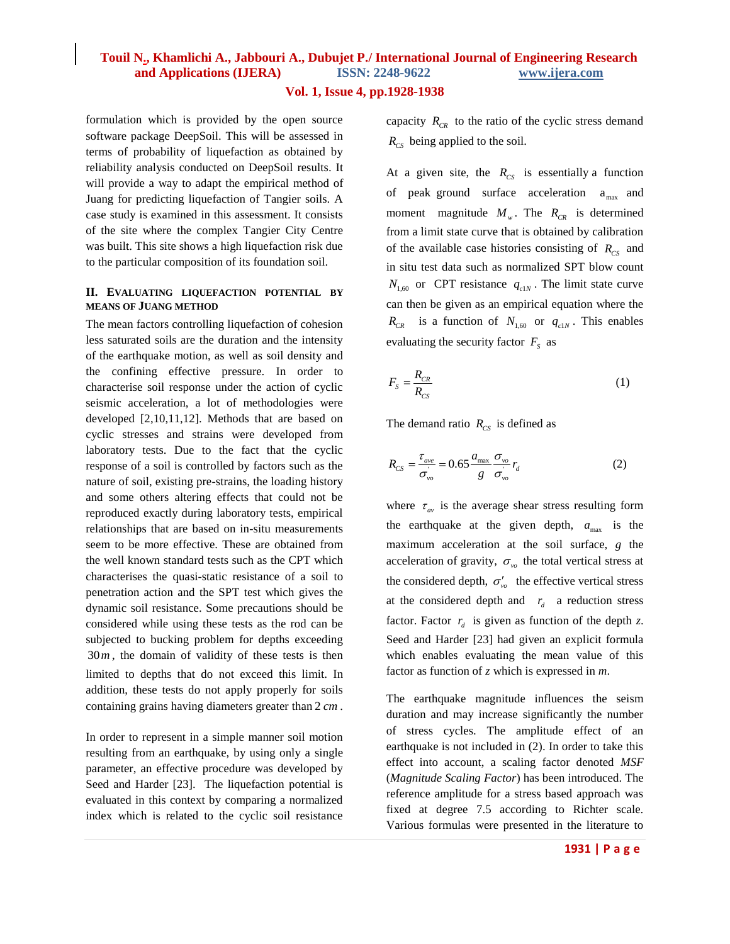### **Vol. 1, Issue 4, pp.1928-1938**

formulation which is provided by the open source software package DeepSoil. This will be assessed in terms of probability of liquefaction as obtained by reliability analysis conducted on DeepSoil results. It will provide a way to adapt the empirical method of Juang for predicting liquefaction of Tangier soils. A case study is examined in this assessment. It consists of the site where the complex Tangier City Centre was built. This site shows a high liquefaction risk due to the particular composition of its foundation soil.

#### **II. EVALUATING LIQUEFACTION POTENTIAL BY MEANS OF JUANG METHOD**

The mean factors controlling liquefaction of cohesion less saturated soils are the duration and the intensity of the earthquake motion, as well as soil density and the confining effective pressure. In order to characterise soil response under the action of cyclic seismic acceleration, a lot of methodologies were developed [2,10,11,12]. Methods that are based on cyclic stresses and strains were developed from laboratory tests. Due to the fact that the cyclic response of a soil is controlled by factors such as the nature of soil, existing pre-strains, the loading history and some others altering effects that could not be reproduced exactly during laboratory tests, empirical relationships that are based on in-situ measurements seem to be more effective. These are obtained from the well known standard tests such as the CPT which characterises the quasi-static resistance of a soil to penetration action and the SPT test which gives the dynamic soil resistance. Some precautions should be considered while using these tests as the rod can be subjected to bucking problem for depths exceeding 30*m* , the domain of validity of these tests is then limited to depths that do not exceed this limit. In addition, these tests do not apply properly for soils containing grains having diameters greater than 2 *cm* .

In order to represent in a simple manner soil motion resulting from an earthquake, by using only a single parameter, an effective procedure was developed by Seed and Harder [23]. The liquefaction potential is evaluated in this context by comparing a normalized index which is related to the cyclic soil resistance capacity  $R_{CR}$  to the ratio of the cyclic stress demand *RCS* being applied to the soil.

At a given site, the  $R_{CS}$  is essentially a function of peak ground surface acceleration  $a_{\text{max}}$  and moment magnitude  $M_w$ . The  $R_{CR}$  is determined from a limit state curve that is obtained by calibration of the available case histories consisting of  $R_{\text{cs}}$  and in situ test data such as normalized SPT blow count  $N_{1,60}$  or CPT resistance  $q_{c1N}$ . The limit state curve can then be given as an empirical equation where the  $R_{CR}$  is a function of  $N_{1,60}$  or  $q_{c1N}$ . This enables evaluating the security factor  $F_s$  as

$$
F_s = \frac{R_{CR}}{R_{cs}}\tag{1}
$$

The demand ratio  $R_{CS}$  is defined as

$$
R_{CS} = \frac{\tau_{ave}}{\sigma_{vo}^{i}} = 0.65 \frac{a_{\text{max}}}{g} \frac{\sigma_{vo}}{\sigma_{vo}^{i}} r_d
$$
 (2)

where  $\tau_{av}$  is the average shear stress resulting form the earthquake at the given depth,  $a_{\text{max}}$  is the maximum acceleration at the soil surface, *g* the acceleration of gravity,  $\sigma_{v}$  the total vertical stress at the considered depth,  $\sigma'_{\nu}$  the effective vertical stress at the considered depth and  $r_d$  a reduction stress factor. Factor  $r_d$  is given as function of the depth *z*. Seed and Harder [23] had given an explicit formula which enables evaluating the mean value of this factor as function of *z* which is expressed in *m*.

The earthquake magnitude influences the seism duration and may increase significantly the number of stress cycles. The amplitude effect of an earthquake is not included in (2). In order to take this effect into account, a scaling factor denoted *MSF* (*Magnitude Scaling Factor*) has been introduced. The reference amplitude for a stress based approach was fixed at degree 7.5 according to Richter scale. Various formulas were presented in the literature to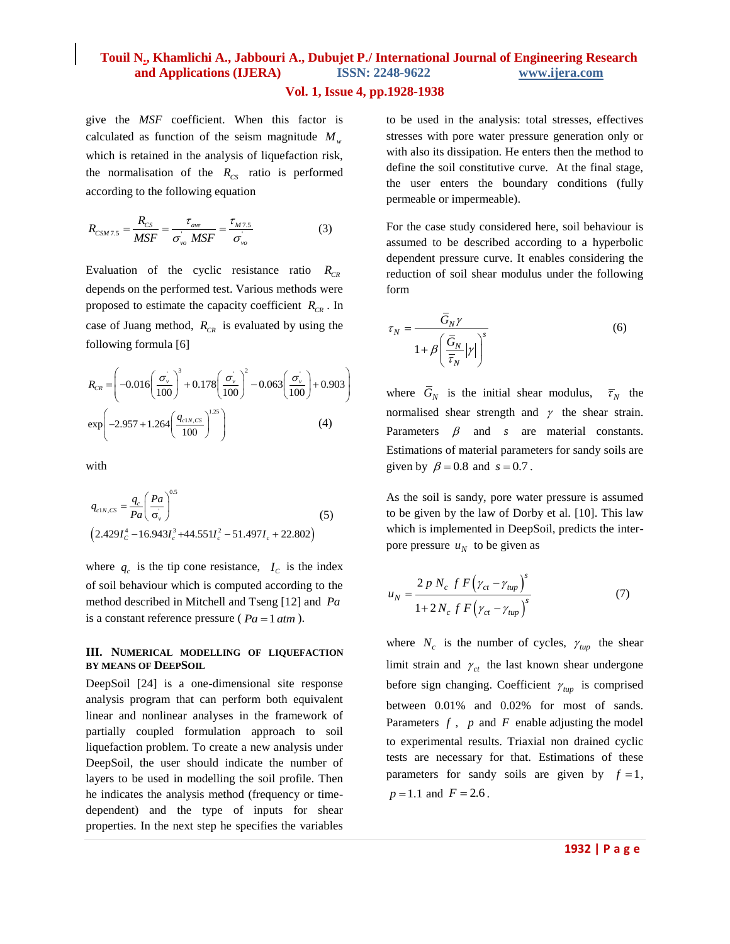### **Vol. 1, Issue 4, pp.1928-1938**

give the *MSF* coefficient. When this factor is calculated as function of the seism magnitude  $M_w$ which is retained in the analysis of liquefaction risk, the normalisation of the  $R_{CS}$  ratio is performed according to the following equation

$$
R_{CSM7.5} = \frac{R_{CS}}{MSF} = \frac{\tau_{ave}}{\sigma_{vo}^{'} MSF} = \frac{\tau_{M7.5}}{\sigma_{vo}^{'}}
$$
(3)

Evaluation of the cyclic resistance ratio  $R_{CR}$ depends on the performed test. Various methods were proposed to estimate the capacity coefficient *RCR* . In case of Juang method,  $R_{CR}$  is evaluated by using the following formula [6]

$$
R_{CR} = \left(-0.016\left(\frac{\sigma_v}{100}\right)^3 + 0.178\left(\frac{\sigma_v}{100}\right)^2 - 0.063\left(\frac{\sigma_v}{100}\right) + 0.903\right)
$$
  
\n
$$
\exp\left(-2.957 + 1.264\left(\frac{q_{c1N,CS}}{100}\right)^{1.25}\right)
$$
 (4)

with

$$
q_{c1N,CS} = \frac{q_c}{Pa} \left(\frac{Pa}{\sigma_v}\right)^{0.5}
$$
  
(2.429I\_c<sup>4</sup> - 16.943I\_c<sup>3</sup> + 44.55II\_c<sup>2</sup> - 51.497I\_c + 22.802) (5)

where  $q_c$  is the tip cone resistance,  $I_c$  is the index of soil behaviour which is computed according to the method described in Mitchell and Tseng [12] and *Pa* is a constant reference pressure ( $Pa = 1 atm$ ).

#### **III. NUMERICAL MODELLING OF LIQUEFACTION BY MEANS OF DEEPSOIL**

DeepSoil [24] is a one-dimensional site response analysis program that can perform both equivalent linear and nonlinear analyses in the framework of partially coupled formulation approach to soil liquefaction problem. To create a new analysis under DeepSoil, the user should indicate the number of layers to be used in modelling the soil profile. Then he indicates the analysis method (frequency or timedependent) and the type of inputs for shear properties. In the next step he specifies the variables

to be used in the analysis: total stresses, effectives stresses with pore water pressure generation only or with also its dissipation. He enters then the method to define the soil constitutive curve. At the final stage, the user enters the boundary conditions (fully permeable or impermeable).

For the case study considered here, soil behaviour is assumed to be described according to a hyperbolic dependent pressure curve. It enables considering the reduction of soil shear modulus under the following form

$$
\tau_N = \frac{\bar{G}_N \gamma}{1 + \beta \left(\frac{\bar{G}_N}{\bar{\tau}_N} |\gamma|\right)^s}
$$
(6)

where  $G_N$  is the initial shear modulus,  $\overline{\tau}_N$  the normalised shear strength and  $\gamma$  the shear strain. Parameters  $\beta$  and s are material constants. Estimations of material parameters for sandy soils are given by  $\beta = 0.8$  and  $s = 0.7$ .

As the soil is sandy, pore water pressure is assumed to be given by the law of Dorby et al. [10]. This law which is implemented in DeepSoil, predicts the interpore pressure  $u_N$  to be given as

$$
u_N = \frac{2 p N_c f F (\gamma_{ct} - \gamma_{tup})^s}{1 + 2 N_c f F (\gamma_{ct} - \gamma_{tup})^s}
$$
(7)

where  $N_c$  is the number of cycles,  $\gamma_{tup}$  the shear limit strain and  $\gamma_{ct}$  the last known shear undergone before sign changing. Coefficient  $\gamma_{\mu\nu}$  is comprised between 0.01% and 0.02% for most of sands. Parameters  $f$ ,  $p$  and  $F$  enable adjusting the model to experimental results. Triaxial non drained cyclic tests are necessary for that. Estimations of these parameters for sandy soils are given by  $f = 1$ ,  $p = 1.1$  and  $F = 2.6$ .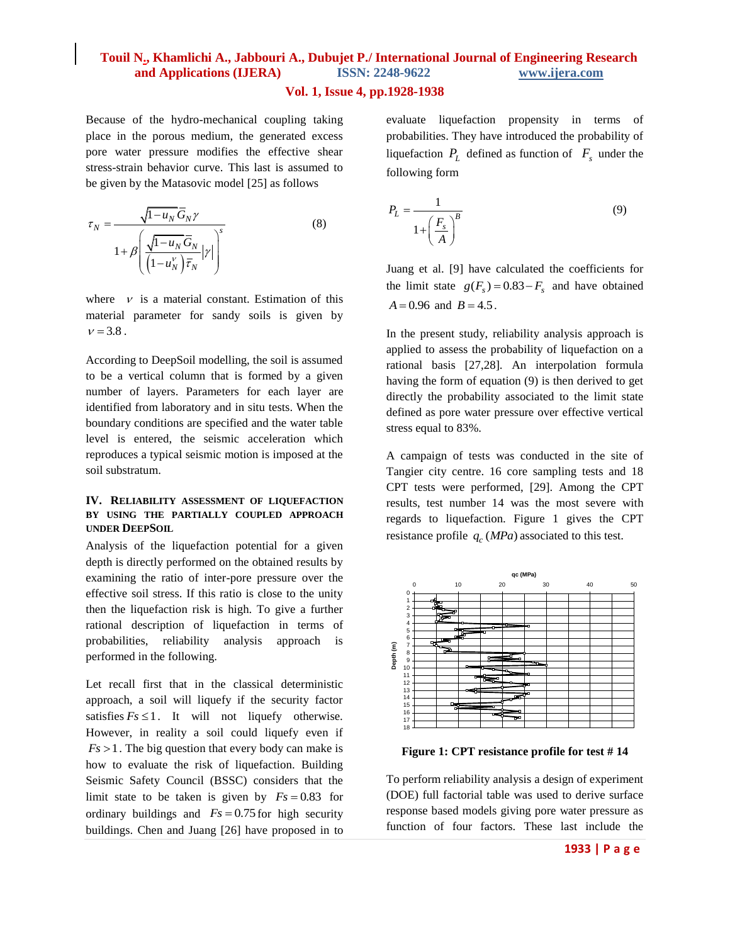### **Vol. 1, Issue 4, pp.1928-1938**

Because of the hydro-mechanical coupling taking place in the porous medium, the generated excess pore water pressure modifies the effective shear stress-strain behavior curve. This last is assumed to be given by the Matasovic model [25] as follows

$$
\tau_N = \frac{\sqrt{1 - u_N} \overline{G}_N \gamma}{1 + \beta \left( \frac{\sqrt{1 - u_N} \overline{G}_N}{\left( 1 - u_N^{\nu} \right) \overline{\tau}_N} | \gamma \right)^s}
$$
(8)

where  $\nu$  is a material constant. Estimation of this material parameter for sandy soils is given by  $v = 3.8$ .

According to DeepSoil modelling, the soil is assumed to be a vertical column that is formed by a given number of layers. Parameters for each layer are identified from laboratory and in situ tests. When the boundary conditions are specified and the water table level is entered, the seismic acceleration which reproduces a typical seismic motion is imposed at the soil substratum.

### **IV. RELIABILITY ASSESSMENT OF LIQUEFACTION BY USING THE PARTIALLY COUPLED APPROACH UNDER DEEPSOIL**

Analysis of the liquefaction potential for a given depth is directly performed on the obtained results by examining the ratio of inter-pore pressure over the effective soil stress. If this ratio is close to the unity then the liquefaction risk is high. To give a further rational description of liquefaction in terms of probabilities, reliability analysis approach performed in the following.

Let recall first that in the classical deterministic approach, a soil will liquefy if the security factor satisfies  $Fs \leq 1$ . It will not liquefy otherwise. However, in reality a soil could liquefy even if  $Fs > 1$ . The big question that every body can make is how to evaluate the risk of liquefaction. Building Seismic Safety Council (BSSC) considers that the limit state to be taken is given by  $Fs = 0.83$  for ordinary buildings and  $Fs = 0.75$  for high security buildings. Chen and Juang [26] have proposed in to

evaluate liquefaction propensity in terms of probabilities. They have introduced the probability of liquefaction  $P_L$  defined as function of  $F_s$  under the following form

$$
P_L = \frac{1}{1 + \left(\frac{F_s}{A}\right)^B} \tag{9}
$$

Juang et al. [9] have calculated the coefficients for the limit state  $g(F_s) = 0.83 - F_s$  and have obtained  $A = 0.96$  and  $B = 4.5$ .

In the present study, reliability analysis approach is applied to assess the probability of liquefaction on a rational basis [27,28]. An interpolation formula having the form of equation (9) is then derived to get directly the probability associated to the limit state defined as pore water pressure over effective vertical stress equal to 83%.

A campaign of tests was conducted in the site of Tangier city centre. 16 core sampling tests and 18 CPT tests were performed, [29]. Among the CPT results, test number 14 was the most severe with regards to liquefaction. Figure 1 gives the CPT resistance profile  $q_c(MPa)$  associated to this test.



**Figure 1: CPT resistance profile for test # 14**

To perform reliability analysis a design of experiment (DOE) full factorial table was used to derive surface response based models giving pore water pressure as function of four factors. These last include the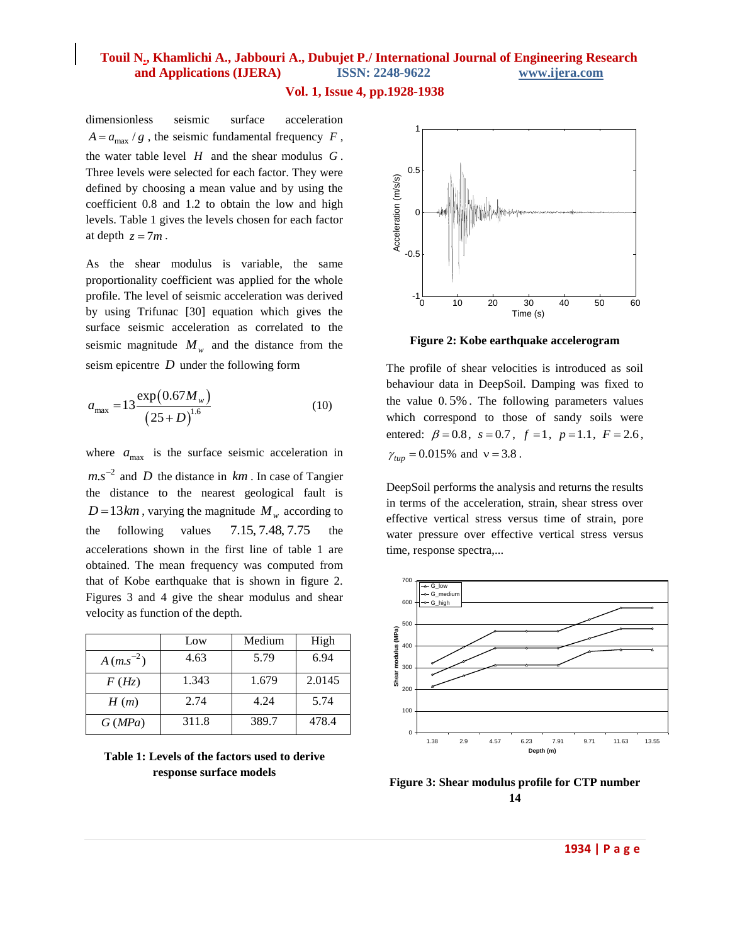### **Vol. 1, Issue 4, pp.1928-1938**

dimensionless seismic surface acceleration  $A = a_{\text{max}} / g$ , the seismic fundamental frequency  $F$ , the water table level *H* and the shear modulus *G* . Three levels were selected for each factor. They were defined by choosing a mean value and by using the coefficient 0.8 and 1.2 to obtain the low and high levels. Table 1 gives the levels chosen for each factor at depth  $z = 7m$ .

As the shear modulus is variable, the same proportionality coefficient was applied for the whole profile. The level of seismic acceleration was derived by using Trifunac [30] equation which gives the surface seismic acceleration as correlated to the seismic magnitude  $M_w$  and the distance from the seism epicentre *D* under the following form

$$
a_{\text{max}} = 13 \frac{\exp(0.67 M_w)}{(25 + D)^{1.6}}
$$
 (10)

where  $a_{\text{max}}$  is the surface seismic acceleration in  $ms^{-2}$  and *D* the distance in  $km$ . In case of Tangier the distance to the nearest geological fault is  $D = 13km$ , varying the magnitude  $M_w$  according to the following values 7.15, 7.48, 7.75 the accelerations shown in the first line of table 1 are obtained. The mean frequency was computed from that of Kobe earthquake that is shown in figure 2. Figures 3 and 4 give the shear modulus and shear velocity as function of the depth.

|               | Low   | Medium | High   |
|---------------|-------|--------|--------|
| $A(m.s^{-2})$ | 4.63  | 5.79   | 6.94   |
| F(Hz)         | 1.343 | 1.679  | 2.0145 |
| H(m)          | 2.74  | 4.24   | 5.74   |
| G(MPa)        | 311.8 | 389.7  | 478.4  |

**Table 1: Levels of the factors used to derive response surface models**



**Figure 2: Kobe earthquake accelerogram**

The profile of shear velocities is introduced as soil behaviour data in DeepSoil. Damping was fixed to the value 0. 5% . The following parameters values which correspond to those of sandy soils were entered:  $\beta = 0.8$ ,  $s = 0.7$ ,  $f = 1$ ,  $p = 1.1$ ,  $F = 2.6$ ,  $\gamma_{tup} = 0.015\%$  and  $v = 3.8$ .

DeepSoil performs the analysis and returns the results in terms of the acceleration, strain, shear stress over effective vertical stress versus time of strain, pore water pressure over effective vertical stress versus time, response spectra,...



**Figure 3: Shear modulus profile for CTP number 14**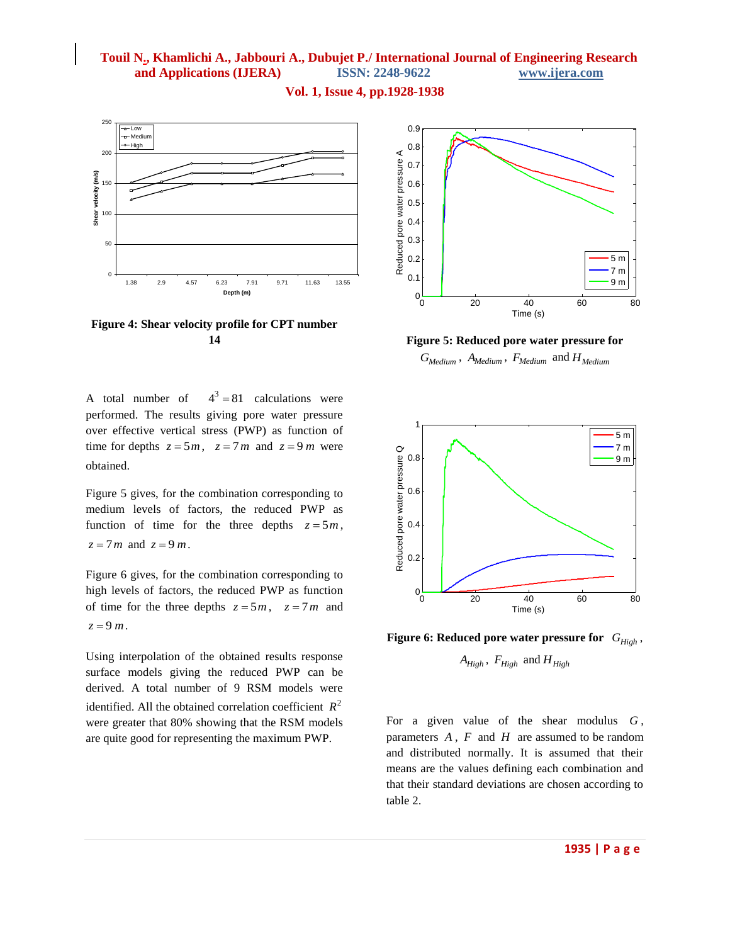### **Vol. 1, Issue 4, pp.1928-1938**



**Figure 4: Shear velocity profile for CPT number 14**

A total number of  $4^3 = 81$  calculations were performed. The results giving pore water pressure over effective vertical stress (PWP) as function of time for depths  $z = 5m$ ,  $z = 7m$  and  $z = 9m$  were obtained.

Figure 5 gives, for the combination corresponding to medium levels of factors, the reduced PWP as function of time for the three depths  $z = 5m$ ,  $z = 7m$  and  $z = 9m$ .

Figure 6 gives, for the combination corresponding to high levels of factors, the reduced PWP as function of time for the three depths  $z = 5m$ ,  $z = 7m$  and  $z = 9m$ .

Using interpolation of the obtained results response surface models giving the reduced PWP can be derived. A total number of 9 RSM models were identified. All the obtained correlation coefficient  $R^2$ were greater that 80% showing that the RSM models are quite good for representing the maximum PWP.



**Figure 5: Reduced pore water pressure for**  *GMedium* , *AMedium* , *FMedium* and *HMedium*



Figure 6: Reduced pore water pressure for  $G_{High}$ ,

 $A_{High}$ ,  $F_{High}$  and  $H_{High}$ 

For a given value of the shear modulus *G* , parameters  $A$ ,  $F$  and  $H$  are assumed to be random and distributed normally. It is assumed that their means are the values defining each combination and that their standard deviations are chosen according to table 2.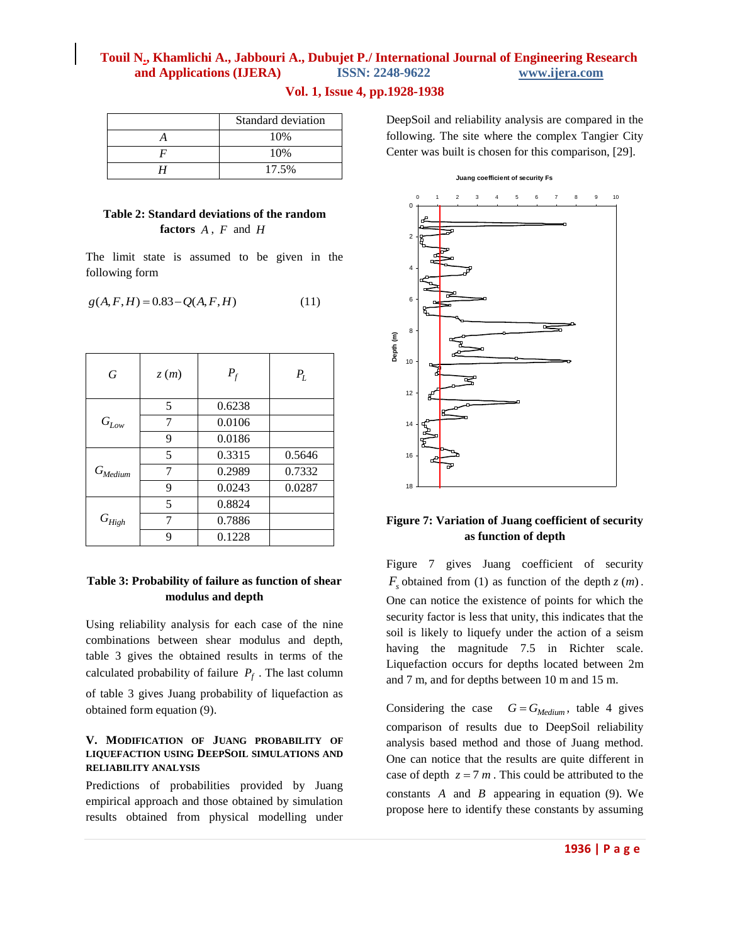### **Vol. 1, Issue 4, pp.1928-1938**

| Standard deviation |  |
|--------------------|--|
| 10%                |  |
| 10%                |  |
| 17.5%              |  |

### **Table 2: Standard deviations of the random factors**  *A* , *F* and *H*

The limit state is assumed to be given in the following form

$$
g(A, F, H) = 0.83 - Q(A, F, H)
$$
 (11)

| G                     | z(m) | $P_f$  | $P_L$  |
|-----------------------|------|--------|--------|
| $G_{Low}$             | 5    | 0.6238 |        |
|                       | 7    | 0.0106 |        |
|                       | 9    | 0.0186 |        |
| $G_{\textit{Median}}$ | 5    | 0.3315 | 0.5646 |
|                       | 7    | 0.2989 | 0.7332 |
|                       | 9    | 0.0243 | 0.0287 |
| ${\cal G}_{High}$     | 5    | 0.8824 |        |
|                       |      | 0.7886 |        |
|                       | q    | 0.1228 |        |

### **Table 3: Probability of failure as function of shear modulus and depth**

Using reliability analysis for each case of the nine combinations between shear modulus and depth, table 3 gives the obtained results in terms of the calculated probability of failure  $P_f$ . The last column

of table 3 gives Juang probability of liquefaction as obtained form equation (9).

### **V. MODIFICATION OF JUANG PROBABILITY OF LIQUEFACTION USING DEEPSOIL SIMULATIONS AND RELIABILITY ANALYSIS**

Predictions of probabilities provided by Juang empirical approach and those obtained by simulation results obtained from physical modelling under DeepSoil and reliability analysis are compared in the following. The site where the complex Tangier City Center was built is chosen for this comparison, [29].

#### **Juang coefficient of security Fs**



### **Figure 7: Variation of Juang coefficient of security as function of depth**

Figure 7 gives Juang coefficient of security  $F_s$  obtained from (1) as function of the depth  $z(m)$ . One can notice the existence of points for which the security factor is less that unity, this indicates that the soil is likely to liquefy under the action of a seism having the magnitude 7.5 in Richter scale. Liquefaction occurs for depths located between 2m and 7 m, and for depths between 10 m and 15 m.

Considering the case  $G = G_{Median}$ , table 4 gives comparison of results due to DeepSoil reliability analysis based method and those of Juang method. One can notice that the results are quite different in case of depth  $z = 7$  m. This could be attributed to the constants  $A$  and  $B$  appearing in equation (9). We propose here to identify these constants by assuming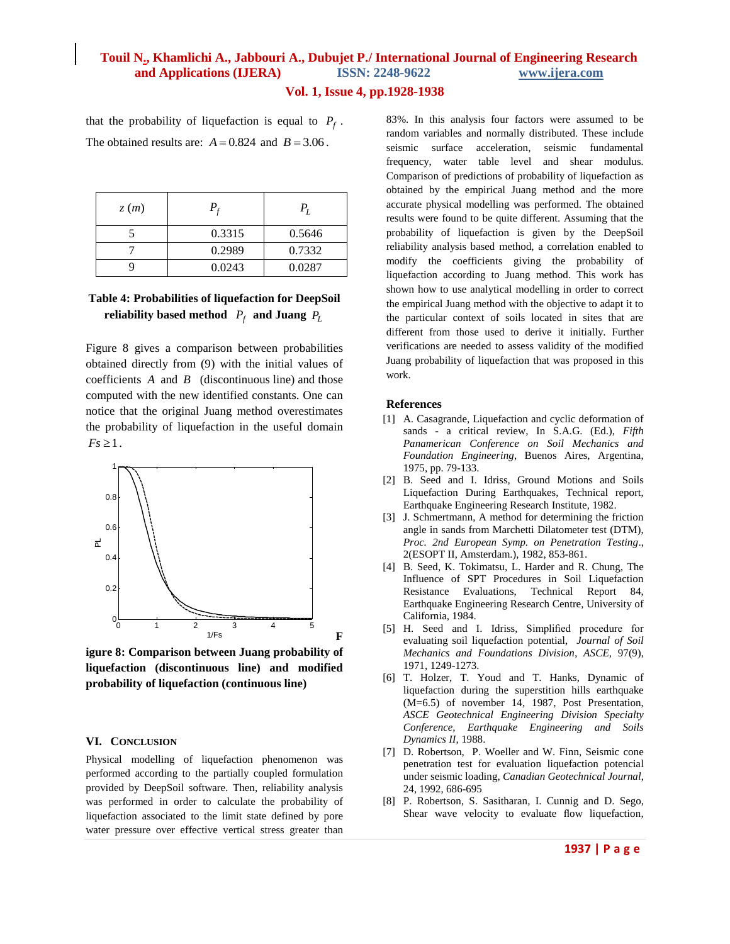### **Vol. 1, Issue 4, pp.1928-1938**

that the probability of liquefaction is equal to  $P_f$ . The obtained results are:  $A = 0.824$  and  $B = 3.06$ .

| z(m) |        |        |
|------|--------|--------|
|      | 0.3315 | 0.5646 |
|      | 0.2989 | 0.7332 |
|      | 0.0243 | 0.0287 |

### **Table 4: Probabilities of liquefaction for DeepSoil**  reliability based method  $P_f$  and Juang  $P_L$

Figure 8 gives a comparison between probabilities obtained directly from (9) with the initial values of coefficients  $A$  and  $B$  (discontinuous line) and those computed with the new identified constants. One can notice that the original Juang method overestimates the probability of liquefaction in the useful domain  $Fs \geq 1$ .



**igure 8: Comparison between Juang probability of liquefaction (discontinuous line) and modified probability of liquefaction (continuous line)**

#### **VI. CONCLUSION**

Physical modelling of liquefaction phenomenon was performed according to the partially coupled formulation provided by DeepSoil software. Then, reliability analysis was performed in order to calculate the probability of liquefaction associated to the limit state defined by pore water pressure over effective vertical stress greater than 83%. In this analysis four factors were assumed to be random variables and normally distributed. These include seismic surface acceleration, seismic fundamental frequency, water table level and shear modulus. Comparison of predictions of probability of liquefaction as obtained by the empirical Juang method and the more accurate physical modelling was performed. The obtained results were found to be quite different. Assuming that the probability of liquefaction is given by the DeepSoil reliability analysis based method, a correlation enabled to modify the coefficients giving the probability of liquefaction according to Juang method. This work has shown how to use analytical modelling in order to correct the empirical Juang method with the objective to adapt it to the particular context of soils located in sites that are different from those used to derive it initially. Further verifications are needed to assess validity of the modified Juang probability of liquefaction that was proposed in this work.

#### **References**

- [1] A. Casagrande, Liquefaction and cyclic deformation of sands - a critical review, In S.A.G. (Ed.), *Fifth Panamerican Conference on Soil Mechanics and Foundation Engineering*, Buenos Aires, Argentina, 1975, pp. 79-133.
- [2] B. Seed and I. Idriss, Ground Motions and Soils Liquefaction During Earthquakes, Technical report, Earthquake Engineering Research Institute, 1982.
- [3] J. Schmertmann, A method for determining the friction angle in sands from Marchetti Dilatometer test (DTM), *Proc. 2nd European Symp. on Penetration Testing*., 2(ESOPT II, Amsterdam.), 1982, 853-861.
- [4] B. Seed, K. Tokimatsu, L. Harder and R. Chung, The Influence of SPT Procedures in Soil Liquefaction Resistance Evaluations, Technical Report 84, Earthquake Engineering Research Centre, University of California, 1984.
- [5] H. Seed and I. Idriss, Simplified procedure for evaluating soil liquefaction potential, *Journal of Soil Mechanics and Foundations Division*, *ASCE,* 97(9), 1971, 1249-1273.
- [6] T. Holzer, T. Youd and T. Hanks, Dynamic of liquefaction during the superstition hills earthquake (M=6.5) of november 14, 1987, Post Presentation, *ASCE Geotechnical Engineering Division Specialty Conference, Earthquake Engineering and Soils Dynamics II*, 1988.
- [7] D. Robertson, P. Woeller and W. Finn, Seismic cone penetration test for evaluation liquefaction potencial under seismic loading, *Canadian Geotechnical Journal*, 24, 1992, 686-695
- [8] P. Robertson, S. Sasitharan, I. Cunnig and D. Sego, Shear wave velocity to evaluate flow liquefaction,